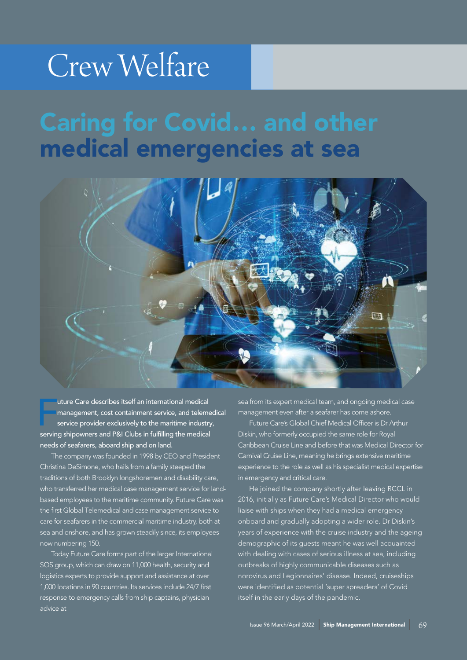## Crew Welfare

## Caring for Covid… and other medical emergencies at sea



uture Care describes itself an international medical<br>management, cost containment service, and teleme<br>service provider exclusively to the maritime industry<br>serving shipowners and P&I Clubs in fulfilling the medical uture Care describes itself an international medical management, cost containment service, and telemedical service provider exclusively to the maritime industry, needs of seafarers, aboard ship and on land.

The company was founded in 1998 by CEO and President Christina DeSimone, who hails from a family steeped the traditions of both Brooklyn longshoremen and disability care, who transferred her medical case management service for landbased employees to the maritime community. Future Care was the first Global Telemedical and case management service to care for seafarers in the commercial maritime industry, both at sea and onshore, and has grown steadily since, its employees now numbering 150.

Today Future Care forms part of the larger International SOS group, which can draw on 11,000 health, security and logistics experts to provide support and assistance at over 1,000 locations in 90 countries. Its services include 24/7 first response to emergency calls from ship captains, physician advice at

sea from its expert medical team, and ongoing medical case management even after a seafarer has come ashore.

Future Care's Global Chief Medical Officer is Dr Arthur Diskin, who formerly occupied the same role for Royal Caribbean Cruise Line and before that was Medical Director for Carnival Cruise Line, meaning he brings extensive maritime experience to the role as well as his specialist medical expertise in emergency and critical care.

He joined the company shortly after leaving RCCL in 2016, initially as Future Care's Medical Director who would liaise with ships when they had a medical emergency onboard and gradually adopting a wider role. Dr Diskin's years of experience with the cruise industry and the ageing demographic of its guests meant he was well acquainted with dealing with cases of serious illness at sea, including outbreaks of highly communicable diseases such as norovirus and Legionnaires' disease. Indeed, cruiseships were identified as potential 'super spreaders' of Covid itself in the early days of the pandemic.